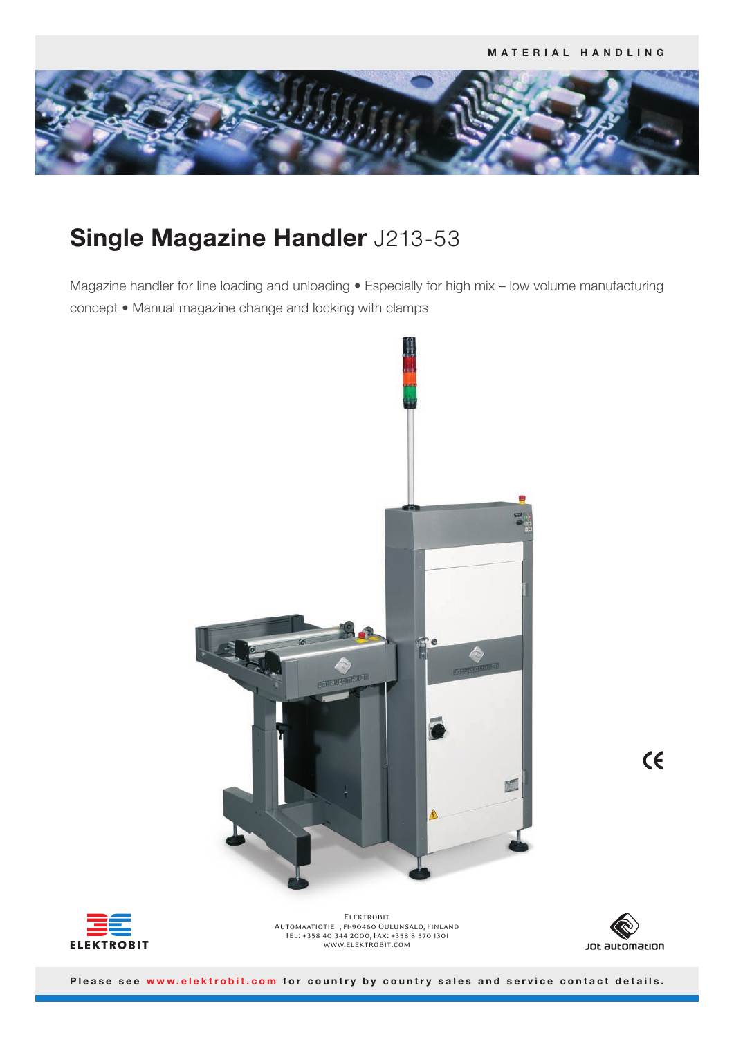

# **Single Magazine Handler** J213-53

Magazine handler for line loading and unloading • Especially for high mix – low volume manufacturing concept • Manual magazine change and locking with clamps







**ELEKTROBIT** Automaatiotie 1, fi-90460 Oulunsalo, Finland Tel: +358 40 344 2000, Fax: +358 8 570 1301 www.elektrobit.com